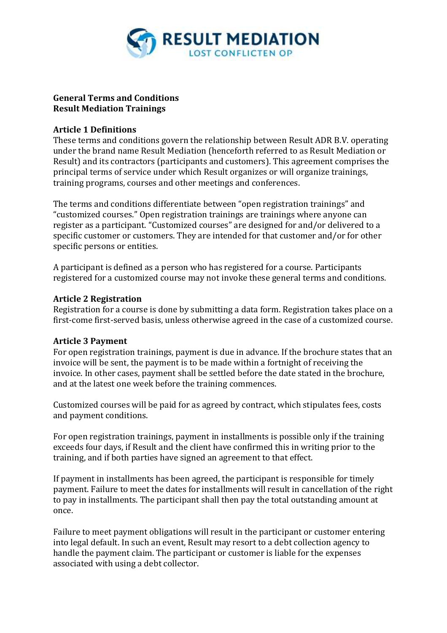

### **General Terms and Conditions Result Mediation Trainings**

#### **Article 1 Definitions**

These terms and conditions govern the relationship between Result ADR B.V. operating under the brand name Result Mediation (henceforth referred to as Result Mediation or Result) and its contractors (participants and customers). This agreement comprises the principal terms of service under which Result organizes or will organize trainings, training programs, courses and other meetings and conferences.

The terms and conditions differentiate between "open registration trainings" and "customized courses." Open registration trainings are trainings where anyone can register as a participant. "Customized courses" are designed for and/or delivered to a specific customer or customers. They are intended for that customer and/or for other specific persons or entities.

A participant is defined as a person who has registered for a course. Participants registered for a customized course may not invoke these general terms and conditions.

#### **Article 2 Registration**

Registration for a course is done by submitting a data form. Registration takes place on a first-come first-served basis, unless otherwise agreed in the case of a customized course.

#### **Article 3 Payment**

For open registration trainings, payment is due in advance. If the brochure states that an invoice will be sent, the payment is to be made within a fortnight of receiving the invoice. In other cases, payment shall be settled before the date stated in the brochure, and at the latest one week before the training commences.

Customized courses will be paid for as agreed by contract, which stipulates fees, costs and payment conditions.

For open registration trainings, payment in installments is possible only if the training exceeds four days, if Result and the client have confirmed this in writing prior to the training, and if both parties have signed an agreement to that effect.

If payment in installments has been agreed, the participant is responsible for timely payment. Failure to meet the dates for installments will result in cancellation of the right to pay in installments. The participant shall then pay the total outstanding amount at once.

Failure to meet payment obligations will result in the participant or customer entering into legal default. In such an event, Result may resort to a debt collection agency to handle the payment claim. The participant or customer is liable for the expenses associated with using a debt collector.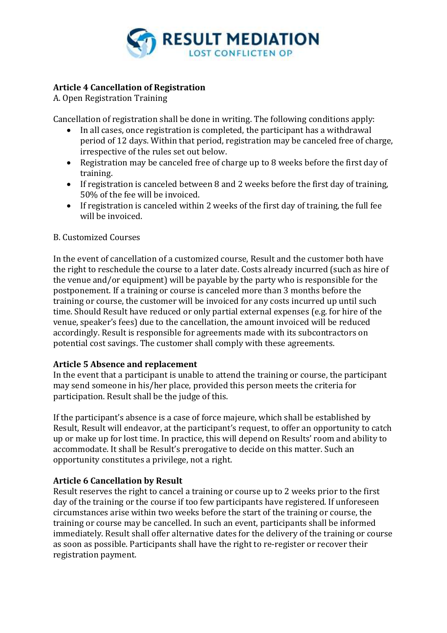

# **Article 4 Cancellation of Registration**

A. Open Registration Training

Cancellation of registration shall be done in writing. The following conditions apply:

- In all cases, once registration is completed, the participant has a withdrawal period of 12 days. Within that period, registration may be canceled free of charge, irrespective of the rules set out below.
- Registration may be canceled free of charge up to 8 weeks before the first day of training.
- If registration is canceled between 8 and 2 weeks before the first day of training, 50% of the fee will be invoiced.
- If registration is canceled within 2 weeks of the first day of training, the full fee will be invoiced.

### B. Customized Courses

In the event of cancellation of a customized course, Result and the customer both have the right to reschedule the course to a later date. Costs already incurred (such as hire of the venue and/or equipment) will be payable by the party who is responsible for the postponement. If a training or course is canceled more than 3 months before the training or course, the customer will be invoiced for any costs incurred up until such time. Should Result have reduced or only partial external expenses (e.g. for hire of the venue, speaker's fees) due to the cancellation, the amount invoiced will be reduced accordingly. Result is responsible for agreements made with its subcontractors on potential cost savings. The customer shall comply with these agreements.

# **Article 5 Absence and replacement**

In the event that a participant is unable to attend the training or course, the participant may send someone in his/her place, provided this person meets the criteria for participation. Result shall be the judge of this.

If the participant's absence is a case of force majeure, which shall be established by Result, Result will endeavor, at the participant's request, to offer an opportunity to catch up or make up for lost time. In practice, this will depend on Results' room and ability to accommodate. It shall be Result's prerogative to decide on this matter. Such an opportunity constitutes a privilege, not a right.

# **Article 6 Cancellation by Result**

Result reserves the right to cancel a training or course up to 2 weeks prior to the first day of the training or the course if too few participants have registered. If unforeseen circumstances arise within two weeks before the start of the training or course, the training or course may be cancelled. In such an event, participants shall be informed immediately. Result shall offer alternative dates for the delivery of the training or course as soon as possible. Participants shall have the right to re-register or recover their registration payment.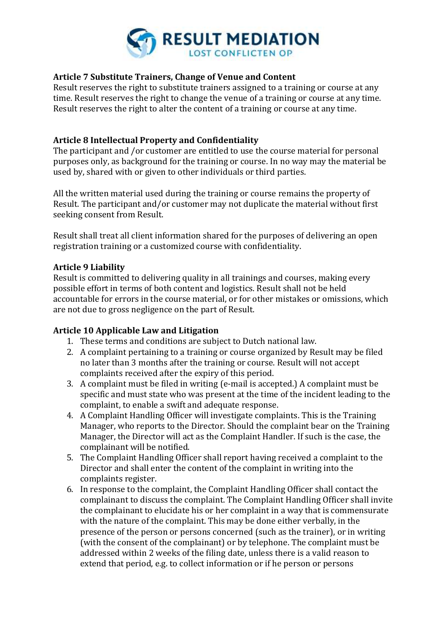

### **Article 7 Substitute Trainers, Change of Venue and Content**

Result reserves the right to substitute trainers assigned to a training or course at any time. Result reserves the right to change the venue of a training or course at any time. Result reserves the right to alter the content of a training or course at any time.

### **Article 8 Intellectual Property and Confidentiality**

The participant and /or customer are entitled to use the course material for personal purposes only, as background for the training or course. In no way may the material be used by, shared with or given to other individuals or third parties.

All the written material used during the training or course remains the property of Result. The participant and/or customer may not duplicate the material without first seeking consent from Result.

Result shall treat all client information shared for the purposes of delivering an open registration training or a customized course with confidentiality.

### **Article 9 Liability**

Result is committed to delivering quality in all trainings and courses, making every possible effort in terms of both content and logistics. Result shall not be held accountable for errors in the course material, or for other mistakes or omissions, which are not due to gross negligence on the part of Result.

### **Article 10 Applicable Law and Litigation**

- 1. These terms and conditions are subject to Dutch national law.
- 2. A complaint pertaining to a training or course organized by Result may be filed no later than 3 months after the training or course. Result will not accept complaints received after the expiry of this period.
- 3. A complaint must be filed in writing (e-mail is accepted.) A complaint must be specific and must state who was present at the time of the incident leading to the complaint, to enable a swift and adequate response.
- 4. A Complaint Handling Officer will investigate complaints. This is the Training Manager, who reports to the Director. Should the complaint bear on the Training Manager, the Director will act as the Complaint Handler. If such is the case, the complainant will be notified.
- 5. The Complaint Handling Officer shall report having received a complaint to the Director and shall enter the content of the complaint in writing into the complaints register.
- 6. In response to the complaint, the Complaint Handling Officer shall contact the complainant to discuss the complaint. The Complaint Handling Officer shall invite the complainant to elucidate his or her complaint in a way that is commensurate with the nature of the complaint. This may be done either verbally, in the presence of the person or persons concerned (such as the trainer), or in writing (with the consent of the complainant) or by telephone. The complaint must be addressed within 2 weeks of the filing date, unless there is a valid reason to extend that period, e.g. to collect information or if he person or persons